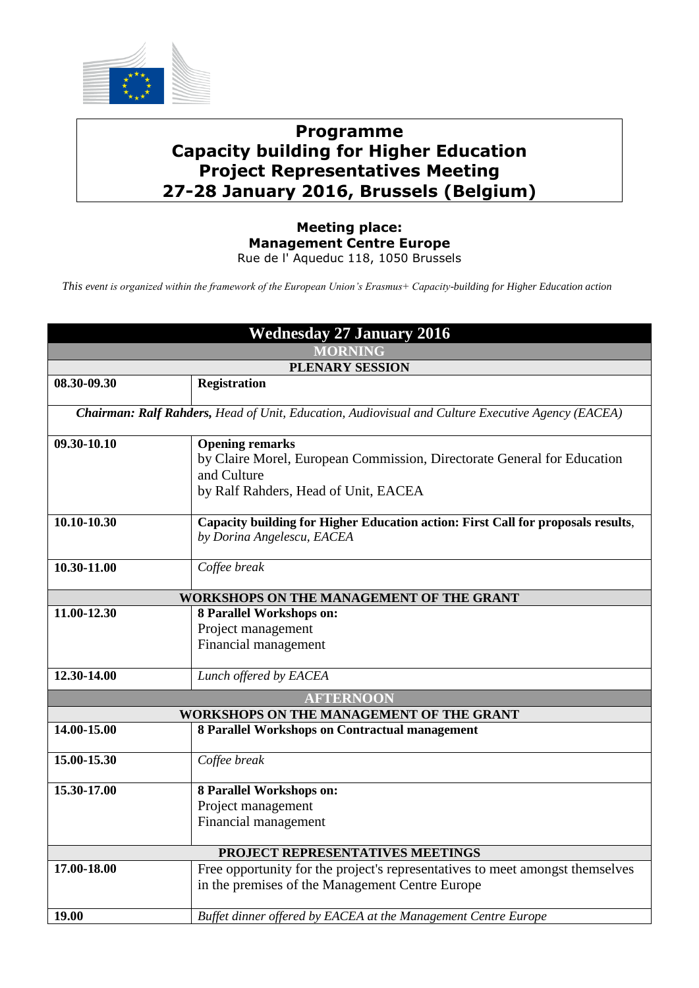

## **Programme Capacity building for Higher Education Project Representatives Meeting 27-28 January 2016, Brussels (Belgium)**

## **Meeting place: Management Centre Europe** Rue de l' Aqueduc 118, 1050 Brussels

*This event is organized within the framework of the European Union's Erasmus+ Capacity-building for Higher Education action*

| <b>Wednesday 27 January 2016</b>                                                                  |                                                                                  |  |
|---------------------------------------------------------------------------------------------------|----------------------------------------------------------------------------------|--|
| <b>MORNING</b>                                                                                    |                                                                                  |  |
| PLENARY SESSION                                                                                   |                                                                                  |  |
| 08.30-09.30                                                                                       | <b>Registration</b>                                                              |  |
| Chairman: Ralf Rahders, Head of Unit, Education, Audiovisual and Culture Executive Agency (EACEA) |                                                                                  |  |
| 09.30-10.10                                                                                       | <b>Opening remarks</b>                                                           |  |
|                                                                                                   | by Claire Morel, European Commission, Directorate General for Education          |  |
|                                                                                                   | and Culture                                                                      |  |
|                                                                                                   | by Ralf Rahders, Head of Unit, EACEA                                             |  |
| 10.10-10.30                                                                                       | Capacity building for Higher Education action: First Call for proposals results, |  |
|                                                                                                   | by Dorina Angelescu, EACEA                                                       |  |
|                                                                                                   |                                                                                  |  |
| 10.30-11.00                                                                                       | Coffee break                                                                     |  |
| WORKSHOPS ON THE MANAGEMENT OF THE GRANT                                                          |                                                                                  |  |
| 11.00-12.30                                                                                       | 8 Parallel Workshops on:                                                         |  |
|                                                                                                   | Project management                                                               |  |
|                                                                                                   | Financial management                                                             |  |
| 12.30-14.00                                                                                       | Lunch offered by EACEA                                                           |  |
| <b>AFTERNOON</b>                                                                                  |                                                                                  |  |
| WORKSHOPS ON THE MANAGEMENT OF THE GRANT                                                          |                                                                                  |  |
| 14.00-15.00                                                                                       | 8 Parallel Workshops on Contractual management                                   |  |
| 15.00-15.30                                                                                       | Coffee break                                                                     |  |
|                                                                                                   |                                                                                  |  |
| 15.30-17.00                                                                                       | 8 Parallel Workshops on:                                                         |  |
|                                                                                                   | Project management                                                               |  |
|                                                                                                   | Financial management                                                             |  |
| PROJECT REPRESENTATIVES MEETINGS                                                                  |                                                                                  |  |
| 17.00-18.00                                                                                       | Free opportunity for the project's representatives to meet amongst themselves    |  |
|                                                                                                   | in the premises of the Management Centre Europe                                  |  |
|                                                                                                   |                                                                                  |  |
| 19.00                                                                                             | Buffet dinner offered by EACEA at the Management Centre Europe                   |  |